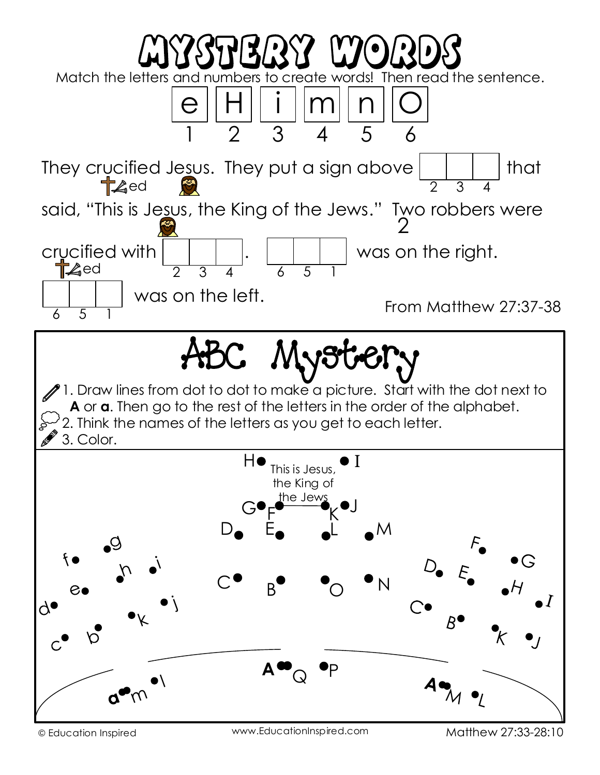